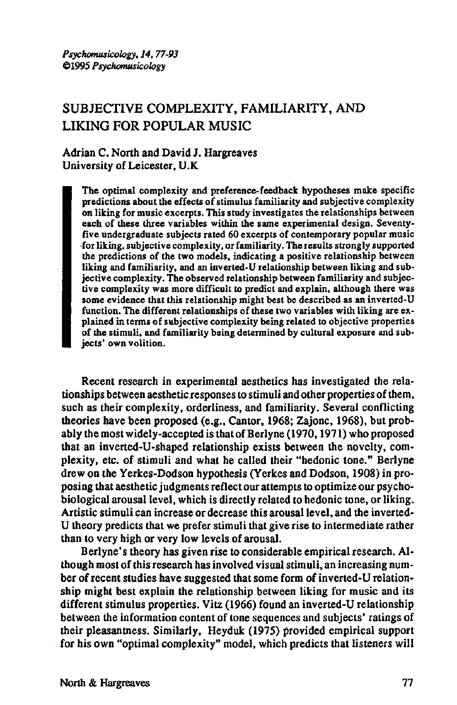# **SUBJECTIVE COMPLEXITY, FAMILIARITY, AND LIKING FOR POPULAR MUSIC**

# **Adrian C. North and David J. Hargreaves University of Leicester, U.K**

**The optimal complexity and preference-feedback hypotheses make specific predictions about the effects of stimulus familiarity and subjective complexity on liking for music excerpts. This study investigates the relationships between each of these three variables within the same experimental design. Seventyfive undergraduate subjects rated 60 excerpts of contemporary popular music for liking, subjective complexity, or familiarity. The results strongly supported the predictions of the two models, indicating a positive relationship between liking and familiarity, and an inverted-U relationship between liking and subjective complexity. The observed relationship between familiarity and subjective complexity was more difficult to predict and explain, although there was some evidence that this relationship might best be described as an inverted-U function. The different relationships of these two variables with liking are explained in terms of subjective complexity being related to objective properties of the stimuli, and familiarity being determined by cultural exposure and subjects\* own volition.** 

**Recent research in experimental aesthetics has investigated the relationships between aesthetic responses to stimuli and other properties of them, such as their complexity, orderliness, and familiarity. Several conflicting theories have been proposed (e.g., Cantor, 1968; Zajonc, 1968), but probably the most widely-accepted is that of Berlyne (1970,1971) who proposed that an inverted-U-shaped relationship exists between the novelty, complexity, etc. of stimuli and what he called their "hedonic tone." Berlyne drew on the Yerkes-Dodson hypothesis (Yerkes and Dodson, 1908) in proposing that aesthetic judgments reflect our attempts to optimize our psychobiological arousal level, which is directly related to hedonic tone, or liking. Artistic stimuli can increase or decrease this arousal level, and the inverted-U theory predicts that we prefer stimuli that give rise to intermediate rather than to very high or very low levels of arousal.** 

**Berlyne's theory has given rise to considerable empirical research. Although most of this research has involved visual stimuli, an increasing number of recent studies have suggested that some form of inverted-U relationship might best explain the relationship between liking for music and its different stimulus properties. Vitz (1966) found an inverted-U relationship between the information content of tone sequences and subjects' ratings of their pleasantness. Similarly, Heyduk (1975) provided empirical support for his own "optimal complexity" model, which predicts that listeners will**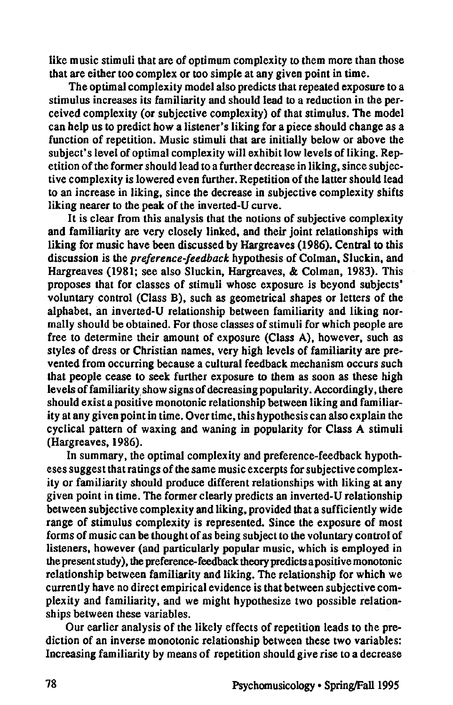**like music stimuli that are of optimum complexity to them more than those that are either too complex or too simple at any given point in time.** 

**The optimal complexity model also predicts that repeated exposure to a stimulus increases its familiarity and should lead to a reduction in the perceived complexity (or subjective complexity) of that stimulus. The model can help us to predict how a listener's liking for a piece should change as a function of repetition. Music stimuli that are initially below or above the subject's level of optimal complexity will exhibit low levels of liking. Repetition of the former should lead to a further decrease in liking, since subjective complexity is lowered even further. Repetition of the latter should lead to an increase in liking, since the decrease in subjective complexity shifts liking nearer to the peak of the inverted-U curve.** 

**It is clear from this analysis that the notions of subjective complexity and familiarity are very closely linked, and their joint relationships with liking for music have been discussed by Hargreaves (1986). Central to this discussion is the** *preference-feedback* **hypothesis of Colman, Sluckin, and Hargreaves (1981; see also Sluckin, Hargreaves, & Colman, 1983). This proposes that for classes of stimuli whose exposure is beyond subjects' voluntary control (Class B), such as geometrical shapes; or letters of the alphabet, an inverted-U relationship between familiarity and liking normally should be obtained. For those classes of stimuli for which people are free to determine their amount of exposure (Class A), however, such as styles of dress or Christian names, very high levels of familiarity are prevented from occurring because a cultural feedback mechanism occurs such that people cease to seek further exposure to them as soon as these high levels of familiarity show signs of decreasing popularity. Accordingly, there should exist a positive monotonic relationship between liking and familiarity at any given point in time. Over time, this hypothesis can also explain the cyclical pattern of waxing and waning in popularity for Class A stimuli (Hargreaves, 1986).** 

**In summary, the optimal complexity and preference-feedback hypotheses suggest that ratings of the same music excerpts for subjective complexity or familiarity should produce different relationships with liking at any given point in time. The former clearly predicts an inverted-U relationship between subjective complexity and liking, provided that a sufficiently wide range of stimulus complexity is represented. Since the exposure of most forms of music can be thought of as being subject to the voluntary control of listeners, however (and particularly popular music, which is employed in the present study), the preference-feedback theory predicts a positive monotonic relationship between familiarity and liking. The relationship for which we currently have no direct empirical evidence is that between subjective complexity and familiarity, and we might hypothesize two possible relationships between these variables.** 

**Our earlier analysis of the likely effects of repetition leads to the prediction of an inverse monotonic relationship between these two variables: Increasing familiarity by means of repetition should give rise to a decrease**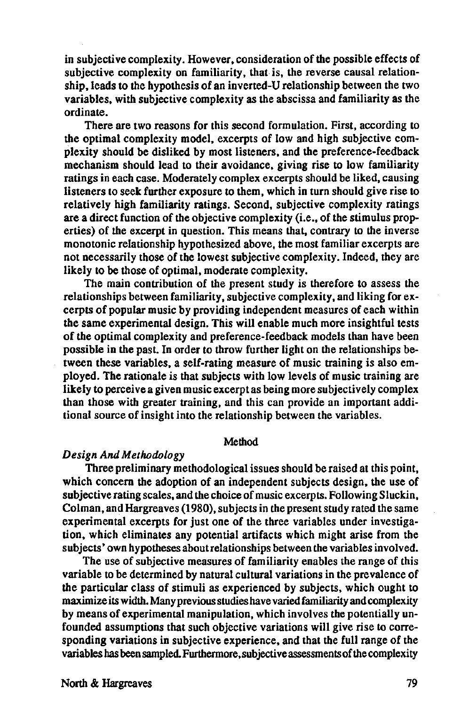**in subjective complexity. However, consideration of the possible effects of subjective complexity on familiarity, that is, the reverse causal relationship, leads to the hypothesis of an inverted-U relationship between the two variables, with subjective complexity as the abscissa and familiarity as the ordinate.** 

**There are two reasons for this second formulation. First, according to the optimal complexity model, excerpts of low and high subjective complexity should be disliked by most listeners, and the preference-feedback mechanism should lead to their avoidance, giving rise to low familiarity ratings in each case. Moderately complex excerpts should be liked, causing listeners to seek further exposure to them, which in turn should give rise to relatively high familiarity ratings. Second, subjective complexity ratings are a direct function of the objective complexity (i.e., of the stimulus properties) of the excerpt in question. This means that, contrary to the inverse monotonic relationship hypothesized above, the most familiar excerpts are not necessarily those of the lowest subjective complexity. Indeed, they are likely to be those of optimal, moderate complexity.** 

**The main contribution of the present study is therefore to assess the relationships between familiarity, subjective complexity, and liking for excerpts of popular music by providing independent measures of each within the same experimental design. This will enable much more insightful tests of the optimal complexity and preference-feedback models than have been possible in the past. In order to throw further light on the relationships between these variables, a self-rating measure of music training is also employed. The rationale is that subjects with low levels of music training are likely to perceive a given music excerpt as being more subjectively complex than those with greater training, and this can provide an important additional source of insight into the relationship between the variables.** 

#### **Method**

## *Design And Methodology*

**Three preliminary methodological issues should be raised at this point, which concern the adoption of an independent subjects design, the use of subjective rating scales, and the choice of music excerpts. Following Sluckin, Colman, and Hargreaves (1980), subjects in the present study rated the same experimental excerpts for just one of the three variables under investigation, which eliminates any potential artifacts which might arise from the**  subjects' own hypotheses about relationships between the variables involved.

**The use of subjective measures of familiarity enables the range of this variable to be determined by natural cultural variations in the prevalence of the particular class of stimuli as experienced by subjects, which ought to maximize its width. Many previous studies have varied familiarity and complexity by means of experimental manipulation, which involves the potentially unfounded assumptions that such objective variations will give rise to corresponding variations in subjective experience, and that the full range of the variables has been sampled. Furthermore, subjective assessments of the complexity**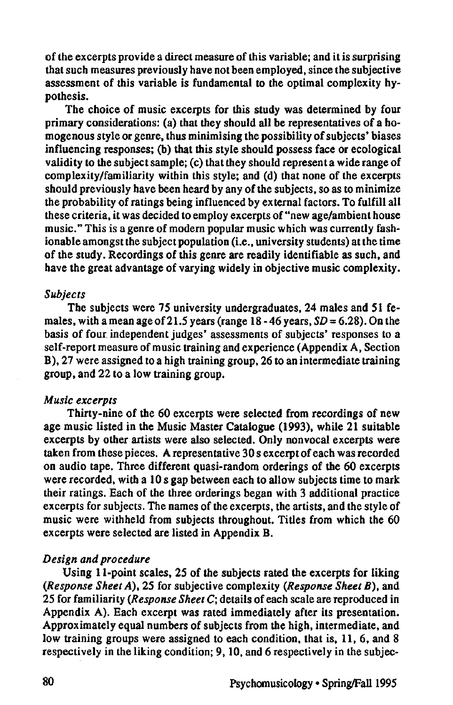**of the excerpts provide a direct measure of this variable; and it is surprising that such measures previously have not been employed, since the subjective assessment of this variable is fundamental to the optimal complexity hypothesis.** 

**The choice of music excerpts for this study was determined by four primary considerations: (a) that they should all be representatives of a homogenous style or genre, thus minimising the possibility of subjects\* biases influencing responses; (b) that this style should possess face or ecological validity to the subject sample; (c) that they should represent a wide range of complexity/familiarity within this style; and (d) that none of the excerpts should previously have been heard by any of the subjects, so as to minimize the probability of ratings being influenced by external factors. To fulfill ail these criteria, it was decided to employ excerpts of "new age/ambient house music." This is a genre of modern popular music which was currently fashionable amongst the subject population (i.e., university students) at the time of the study. Recordings of this genre are readily identifiable as such, and have the great advantage of varying widely in objective music complexity.** 

## *Subjects*

**The subjects were 75 university undergraduates, 24 males and 51 females, with a mean age of 21.5 years (range 18-46 years,** *SD* **= 6.28). On the basis of four independent judges' assessments of subjects' responses to a self-report measure of music training and experience (Appendix A, Section B), 27 were assigned to a high training group, 26 to an intermediate training group, and 22 to a low training group.** 

# *Music excerpts*

**Thirty-nine of the 60 excerpts were selected from recordings of new age music listed in the Music Master Catalogue (1993), while 21 suitable excerpts by other artists were also selected. Only nonvocal excerpts were taken from these pieces. A representative 30 s excerpt of each was recorded on audio tape. Three different quasi-random orderings of the 60 excerpts were recorded, with a 10 s gap between each to allow subjects time to mark their ratings. Each of the three orderings began with 3 additional practice excerpts for subjects. The names of the excerpts, the artists, and the style of music were withheld from subjects throughout. Titles from which the 60 excerpts were selected are listed in Appendix B.** 

# *Design and procedure*

**Using 11-point scales, 25 of the subjects rated the excerpts for liking**  *(Response Sheet A),* **25 for subjective complexity** *(Response Sheet B),* **and 25 for familiarity** *(Response Sheet C;* **details of each scale are reproduced in Appendix A). Each excerpt was rated immediately after its presentation. Approximately equal numbers of subjects from the high, intermediate, and low training groups were assigned to each condition, that is, 11, 6, and 8 respectively in the liking condition; 9,10, and 6 respectively in the subjec-**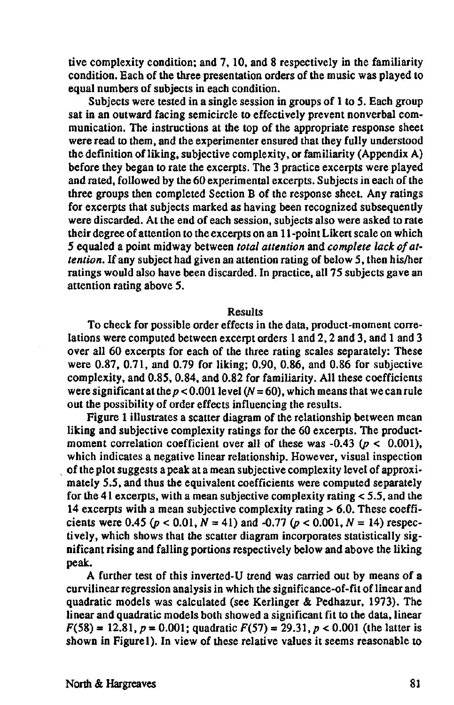**tive complexity condition; and 7, 10, and 8 respectively in the familiarity condition. Each of the three presentation orders of the music was played to equal numbers of subjects in each condition.** 

**Subjects were tested in a single session in groups of 1 to 5. Each group sat in an outward facing semicircle to effectively prevent nonverbal communication. The instructions at the top of the appropriate response sheet were read to them, and the experimenter ensured that they fully understood the definition of liking, subjective complexity, or familiarity (Appendix A) before they began to rate the excerpts. The 3 practice excerpts were played and rated, followed by the 60 experimental excerpts. Subjects in each of the three groups then completed Section B of the response sheet. Any ratings for excerpts that subjects marked as having been recognized subsequently were discarded. At the end of each session, subjects also were asked to rate their degree of attention to the excerpts on an 11 -point Likert scale on which 5 equaled a point midway between** *total attention* **and** *complete lack of attention.* **If any subject had given an attention rating of below 5, then his/her ratings would also have been discarded. In practice, all 75 subjects gave an attention rating above 5.** 

#### **Results**

**To check for possible order effects in the data, product-moment correlations were computed between excerpt orders 1 and 2,2 and 3, and 1 and 3 over all 60 excerpts for each of the three rating scales separately: These were 0.87, 0.71, and 0.79 for liking; 0.90, 0.86, and 0.86 for subjective complexity, and 0.85, 0.84, and 0.82 for familiarity. All these coefficients**  were significant at the  $p < 0.001$  level  $(N = 60)$ , which means that we can rule **out the possibility of order effects influencing the results.** 

**Figure 1 illustrates a scatter diagram of the relationship between mean liking and subjective complexity ratings for the 60 excerpts. The productmoment correlation coefficient over all of these was**  $-0.43$  **(** $p < 0.001$ **), which indicates a negative linear relationship. However, visual inspection of the plot suggests a peak at a mean subjective complexity level of approximately 5.5, and thus the equivalent coefficients were computed separately for the 41 excerpts, with a mean subjective complexity rating < 5.5, and the 14 excerpts with a mean subjective complexity rating > 6.0. These coeffi**cients were 0.45  $(p < 0.01, N = 41)$  and  $-0.77$   $(p < 0.001, N = 14)$  respec**tively, which shows that the scatter diagram incorporates statistically significant rising and falling portions respectively below and above the liking peak.** 

**A further test of this inverted-U trend was carried out by means of a curvilinear regression analysis in which the significance-of-fit of linear and quadratic models was calculated (see Kerlinger & Pedhazur, 1973). The linear and quadratic models both showed a significant fit to the data, linear**   $F(58) = 12.81, p = 0.001$ ; quadratic  $F(57) = 29.31, p < 0.001$  (the latter is **shown in Figurel). In view of these relative values it seems reasonable to**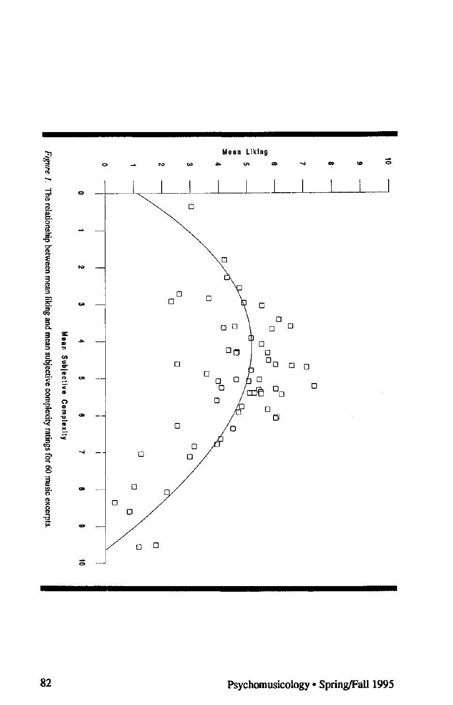

Psychomusicology · Spring/Fall 1995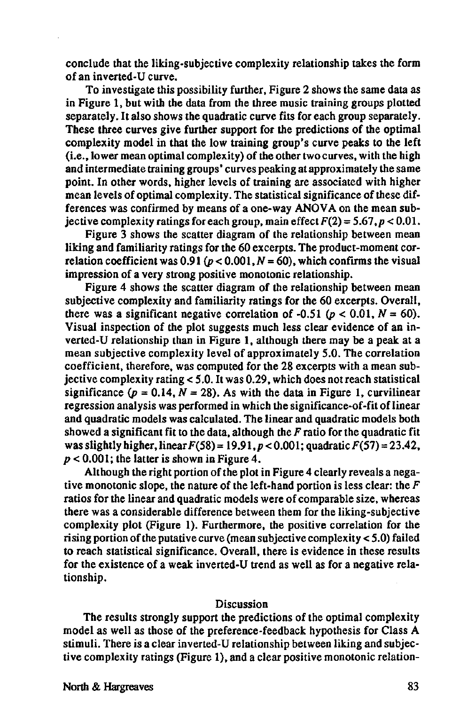**conclude that the liking-subjective complexity relationship takes the form of an inverted-U curve.** 

**To investigate this possibility further, Figure 2 shows the same data as in Figure 1, but with the data from the three music training groups plotted separately. It also shows the quadratic curve fits for each group separately. These three curves give further support for the predictions of the optimal complexity model in that the low training group's curve peaks to the left (i.e., lower mean optimal complexity) of the other two curves, with the high and intermediate training groups' curves peaking at approximately the same point. In other words, higher levels of training are associated with higher mean levels of optimal complexity. The statistical significance of these differences was confirmed by means of a one-way ANOVA on the mean sub**jective complexity ratings for each group, main effect  $F(2) = 5.67, p < 0.01$ .

**Figure 3 shows the scatter diagram of the relationship between mean liking and familiarity ratings for the 60 excerpts. The product-moment correlation coefficient was 0.91** ( $p < 0.001$ ,  $N = 60$ ), which confirms the visual **impression of a very strong positive monotonic relationship.** 

**Figure 4 shows the scatter diagram of the relationship between mean subjective complexity and familiarity ratings for the 60 excerpts. Overall,**  there was a significant negative correlation of  $-0.51$  ( $p < 0.01$ ,  $N = 60$ ). **Visual inspection of the plot suggests much less clear evidence of an inverted-U relationship than in Figure 1, although there may be a peak at a mean subjective complexity level of approximately 5.0. The correlation coefficient, therefore, was computed for the 28 excerpts with a mean subjective complexity rating < 5.0. It was 0.29, which does not reach statistical**  significance  $(p = 0.14, N = 28)$ . As with the data in Figure 1, curvilinear **regression analysis was performed in which the significance-of-fit of linear and quadratic models was calculated. The linear and quadratic models both showed a significant fit to the data, although the** *F* **ratio for the quadratic fit**  was slightly higher, linear  $F(58) = 19.91$ ,  $p < 0.001$ ; quadratic  $F(57) = 23.42$ , *p <* **0.001; the latter is shown in Figure 4.** 

**Although the right portion of the plot in Figure 4 clearly reveals a negative monotonic slope, the nature of the left-hand portion is less clear: the** *F*  **ratios for the linear and quadratic models were of comparable size, whereas there was a considerable difference between them for the liking-subjective complexity plot (Figure 1). Furthermore, the positive correlation for the rising portion of the putative curve (mean subjective complexity < 5.0) failed to reach statistical significance. Overall, there is evidence in these results for the existence of a weak inverted-U trend as well as for a negative relationship.** 

#### **Discussion**

**The results strongly support the predictions of the optimal complexity**  stimuli. There is a clear inverted-U relationship between liking and subjective complexity ratings (Figure 1), and a clear positive monotonic relation-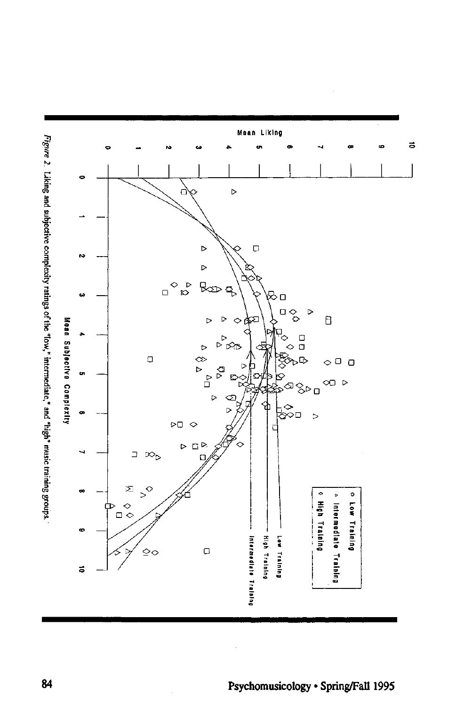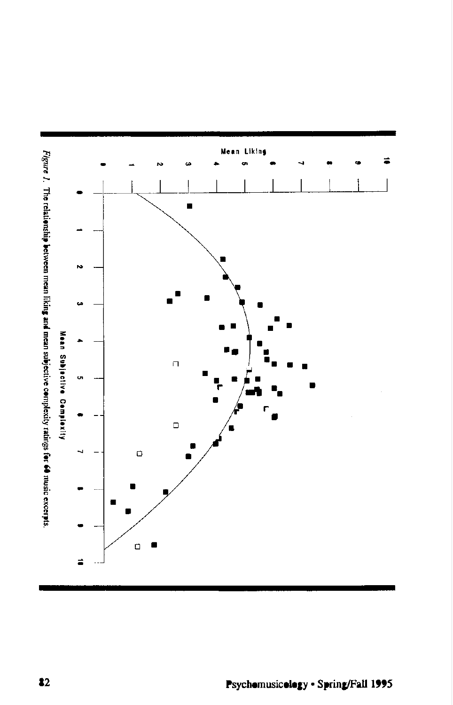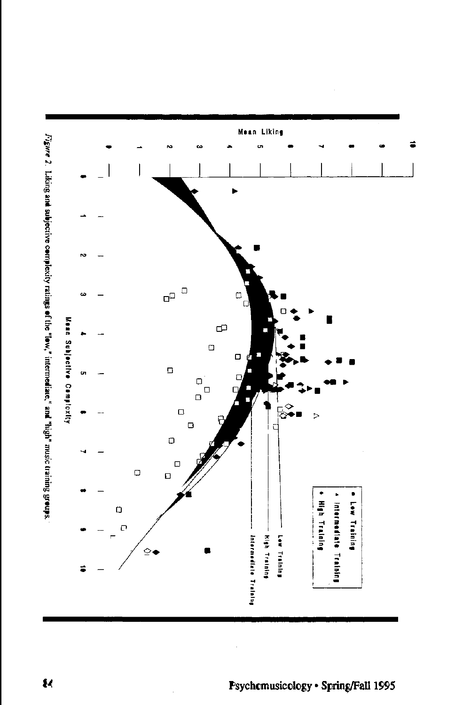

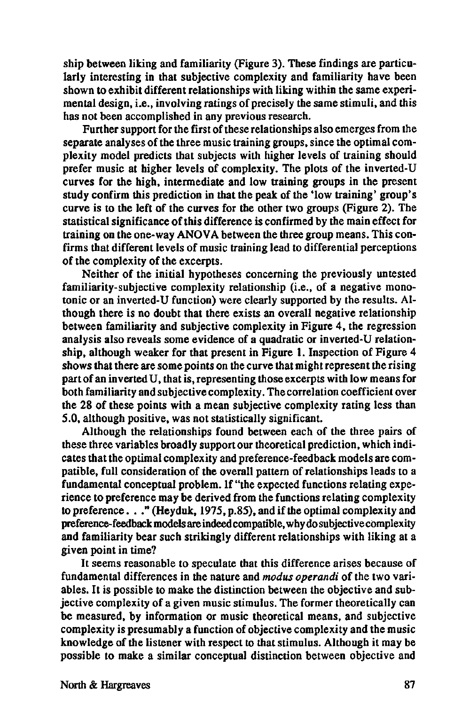**ship between liking and familiarity (Figure 3). These findings are particularly interesting in that subjective complexity and familiarity have been shown to exhibit different relationships with liking within the same experimental design, i.e., involving ratings of precisely the same stimuli, and this has not been accomplished in any previous research.** 

**Further support for the first of these relationships also emerges from the separate analyses of the three music training groups, since the optimal complexity model predicts that subjects with higher levels of training should prefer music at higher levels of complexity. The plots of the inverted-U curves for the high, intermediate and low training groups in the present study confirm this prediction in that the peak of the 'low training' group's curve is to the left of the curves for the other two groups (Figure 2). The statistical significance of this difference is confirmed by the main effect for training on the one-way ANOVA between the three group means. This confirms that different levels of music training lead to differential perceptions of the complexity of the excerpts.** 

**Neither of the initial hypotheses concerning the previously untested familiarity-subjective complexity relationship (i.e., of a negative monotonic or an inverted-U function) were clearly supported by the results. Although there is no doubt that there exists an overall negative relationship between familiarity and subjective complexity in Figure 4, the regression analysis also reveals some evidence of a quadratic or inverted-U relationship, although weaker for that present in Figure 1. Inspection of Figure 4 shows that there are some points on the curve that might represent the rising part of an inverted U, that is, representing those excerpts with low means for both familiarity and subjective complexity. The correlation coefficient over the 28 of these points with a mean subjective complexity rating less than 5.0, although positive, was not statistically significant.** 

**Although the relationships found between each of the three pairs of these three variables broadly support our theoretical prediction, which indicates that the optimal complexity and preference-feedback models are compatible, full consideration of the overall pattern of relationships leads to a fundamental conceptual problem. If "the expected functions relating experience to preference may be derived from the functions relating complexity to preference. . ."(Heyduk, 1975, p.85), and if the optimal complexity and preference-feedback models are indeed compatible, why do subjective complexity and familiarity bear such strikingly different relationships with liking at a given point in time?** 

**It seems reasonable to speculate that this difference arises because of fundamental differences in the nature and** *modus operandi* **of the two variables. It is possible to make the distinction between the objective and subjective complexity of a given music stimulus. The former theoretically can be measured, by information or music theoretical means, and subjective complexity is presumably a function of objective complexity and the music knowledge of the listener with respect to that stimulus. Although it may be possible to make a similar conceptual distinction between objective and**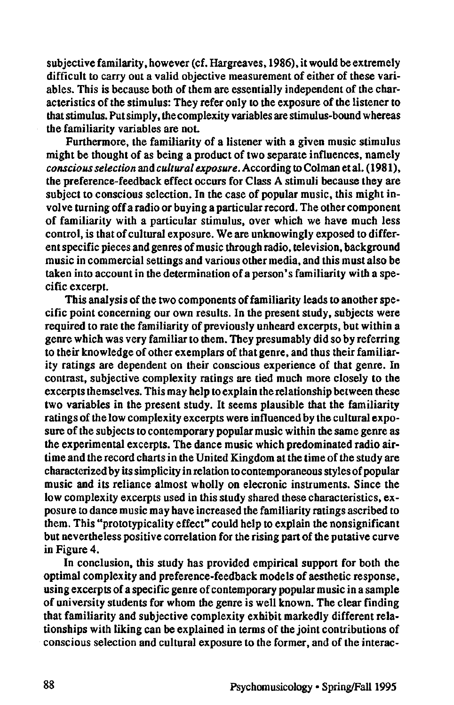**subjective familarity, however (cf. Hargreaves, 1986), it would be extremely difficult to carry out a valid objective measurement of either of these variables. This is because both of them are essentially independent of the characteristics of the stimulus: They refer only to the exposure of the listener to that stimulus. Put simply, the complexity variables are stimulus-bound whereas the familiarity variables are not.** 

**Furthermore, the familiarity of a listener with a given music stimulus might be thought of as being a product of two separate influences, namely**  *conscious selection* **and** *cultural exposure.* **According to Colman et al. (1981), the preference-feedback effect occurs for Class A stimuli because they are subject to conscious selection. In the case of popular music, this might involve turning off a radio or buying a particular record. The other component of familiarity with a particular stimulus, over which we have much less control, is that of cultural exposure. We are unknowingly exposed to different specific pieces and genres of music through radio, television, background music in commercial settings and various other media, and this must also be taken into account in the determination of a person's familiarity with a specific excerpt.** 

**This analysis of the two components of familiarity leads to another specific point concerning our own results. In the present study, subjects were required to rate the familiarity of previously unheard excerpts, but within a genre which was very familiar to them. They presumably did so by referring to their knowledge of other exemplars of that genre, and thus their familiarity ratings are dependent on their conscious experience of that genre. In contrast, subjective complexity ratings are tied much more closely to the excerpts themselves. This may help to explain the relationship between these two variables in the present study. It seems plausible that the familiarity ratings of the low complexity excerpts were influenced by the cultural exposure of the subjects to contemporary popular music within the same genre as the experimental excerpts. The dance music which predominated radio airtime and the record charts in the United Kingdom at the time of the study are characterized by its simplicity in relation to contemporaneous styles of popular music and its reliance almost wholly on elecronic instruments. Since the low complexity excerpts used in this study shared these characteristics, exposure to dance music may have increased the familiarity ratings ascribed to them. This "prototypicality effect" could help to explain the nonsignificant but nevertheless positive correlation for the rising part of the putative curve in Figure 4.** 

**In conclusion, this study has provided empirical support for both the optimal complexity and preference-feedback models of aesthetic response, using excerpts of a specific genre of contemporary popular music in a sample of university students for whom the genre is well known. The clear finding that familiarity and subjective complexity exhibit markedly different relationships with liking can be explained in terms of the joint contributions of conscious selection and cultural exposure to the former, and of the interac-**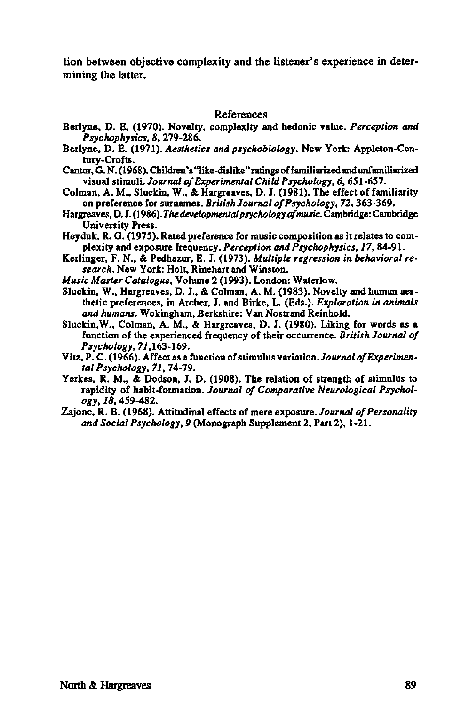**tion between objective complexity and the listener's experience in determining the latter.** 

## **References**

- **Berlyne, D. E. (1970). Novelty, complexity and hedonic value.** *Perception and Psychophysics, 8,***279-286.**
- **Berlyne, D. E. (1971).** *Aesthetics and psychobiology.* **New York: Appleton-Century-Crofts.**
- **Cantor, G. N. (1968). Children's "like-dislike" ratings of familiarized and unfamiliarized visual stimuli.** *Journal of Experimental Child Psychology***,** *6,* **651-657.**
- **Colman, A. M., Sluckin, W., & Hargreaves, D. J. (1981). The effect of familiarity on preference for surnames.** *British Journal of Psychology, 72,* **363-369.**
- **Hargreaves, D. J. (1986).** *The developmental psychology of music.* **Cambridge: Cambridge University Press.**
- **Heyduk, R. G. (1975). Rated preference for music composition as it relates to complexity and exposure frequency.** *Perception and Psychophysics, 17',* **84-91.**
- **Kerlinger, F. N., & Pedhazur, E. J. (1973).** *Multiple regression in behavioral research.* **New York: Holt, Rinehart and Winston.**
- *Music Master Catalogue,* **Volume 2 (1993). London: Waterlow.**
- **Sluckin, W., Hargreaves, D. J., & Colman, A. M. (1983). Novelty and human aesthetic preferences, in Archer, J. and Birke, L. (Eds.).** *Exploration in animals and humans.* **Wokingham, Berkshire: Van No strand Reinhold.**
- **Sluckin,W., Colman, A. M., & Hargreaves, D. J. (1980). Liking for words as a function of the experienced frequency of their occurrence.** *British Journal of Psychology,* **77,163-169.**
- **Vitz, P. C. (1966). Affect as a function of stimulus variation.** *Journal of Experimental Psychology, 71,* **74-79.**
- **Yerkes, R. M., & Dodson, J. D. (1908). The relation of strength of stimulus to rapidity of habit-formation.** *Journal of Comparative Neurological Psychology, 18,***459-482.**
- **Zajonc, R. B. (1968). Attitudinal effects of mere exposure.** *Journal of Personality and Social Psychology, 9* **(Monograph Supplement 2, Part 2), 1-21.**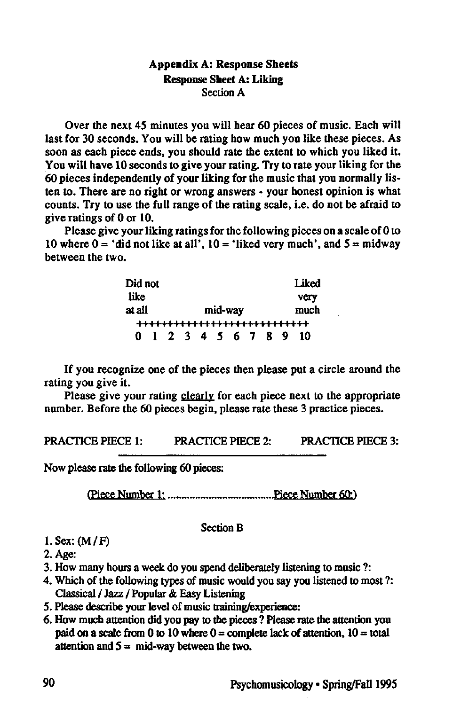# **Appendix A: Response Sheets**  Response Sheet A: Liking Section A

Over the next 45 minutes you will hear 60 pieces of music. Each will last for 30 seconds. You will be rating how much you like these pieces. As soon as each piece ends, you should rate the extent to which you liked it. You will have 10 seconds to give your rating. Try to rate your liking for the 60 pieces independently of your liking for the music that you normally listen to. There are no right or wrong answers - your honest opinion is what counts. Try to use the full range of the rating scale, i.e. do not be afraid to give ratings of 0 or 10.

Please give your liking ratings for the following pieces on a scale of 0 to 10 where  $0 = 'did$  not like at all',  $10 = 'l$  iked very much', and  $5 = midway$ between the two.

| Did not                     |  |  |  |  |  |                     |  |  |      | Liked |  |  |  |
|-----------------------------|--|--|--|--|--|---------------------|--|--|------|-------|--|--|--|
| like                        |  |  |  |  |  |                     |  |  |      | very  |  |  |  |
| at all<br>mid-way           |  |  |  |  |  |                     |  |  | much |       |  |  |  |
| +++++++++++++++++++++++++++ |  |  |  |  |  |                     |  |  |      |       |  |  |  |
|                             |  |  |  |  |  | 0 1 2 3 4 5 6 7 8 9 |  |  |      | 10    |  |  |  |

If you recognize one of the pieces then please put a circle around the rating you give it.

Please give your rating clearly for each piece next to the appropriate number. Before the 60 pieces begin, please rate these 3 practice pieces.

PRACTICE PIECE 1: PRACTICE PIECE 2: PRACTICE PIECE 3:

Now please rate the following 60 pieces:

(Piece Number t; Ptece Number fl?;)

# Section B

l.Sex:(M/F)

- 2. Age:
- 3. How many hours a week do you spend deliberately listening to music ?:
- 4. Which of the following types of music would you say you listened to most ?: Classical / Jazz / Popular & Easy Listening
- 5. Please describe your level of music training/experience:
- 6. How much attention did you pay to the pieces ? Please rate the attention you paid on a scale from 0 to 10 where  $0 =$  complete lack of attention,  $10 =$  total attention and  $5 = mid-way$  between the two.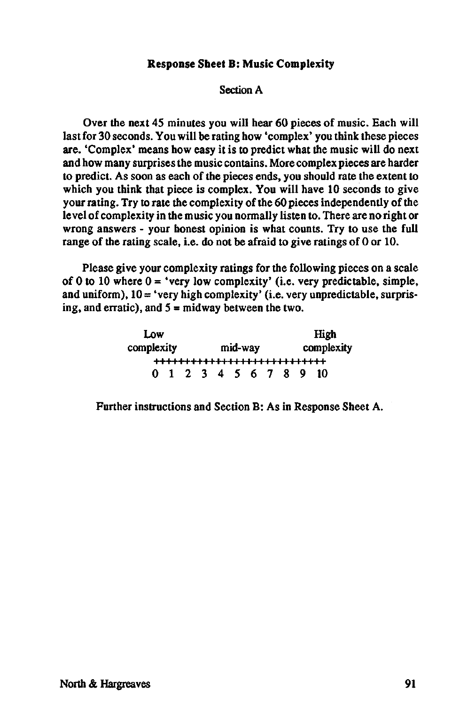#### **Response Sheet B: Music Complexity**

# **Section A**

**Over the next 45 minutes you will hear 60 pieces of music. Each will**  last for 30 seconds. You will be rating how 'complex' you think these pieces **are. 'Complex\* means how easy it is to predict what the music will do next and how many surprises the music contains. More complex pieces are harder to predict. As soon as each of the pieces ends, you should rate the extent to which you think that piece is complex. You will have 10 seconds to give your rating. Try to rate the complexity of the 60 pieces independently of the level of complexity in the music you normally listen to. There are no right or wrong answers - your honest opinion is what counts. Try to use the full range of the rating scale, i.e. do not be afraid to give ratings of 0 or 10.** 

**Please give your complexity ratings for the following pieces on a scale of 0 to 10 where 0 = 'very low complexity' (i.e. very predictable, simple,**  and uniform),  $10 = 'very high complexity'$  (i.e. very unpredictable, surpris**ing, and erratic), and 5 = midway between the two.** 

| Low                                 |  |         |  |  |  |  |            |  | High |                        |  |  |  |
|-------------------------------------|--|---------|--|--|--|--|------------|--|------|------------------------|--|--|--|
| complexity                          |  | mid-way |  |  |  |  | complexity |  |      |                        |  |  |  |
| <b>++++++++++++++++++++++++++++</b> |  |         |  |  |  |  |            |  |      |                        |  |  |  |
|                                     |  |         |  |  |  |  |            |  |      | 0 1 2 3 4 5 6 7 8 9 10 |  |  |  |

**Further instructions and Section B: As in Response Sheet A.**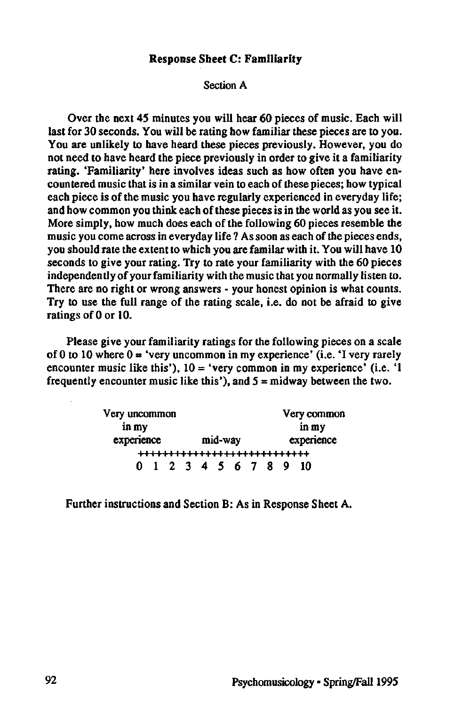# **Response Sheet C: Familiarity**

# **Section A**

**Over the next 45 minutes you will hear 60 pieces of music. Each will last for 30 seconds. You will be rating how familiar these pieces are to you. You are unlikely to have heard these pieces previously. However, you do not need to have heard the piece previously in order to give it a familiarity rating. 'Familiarity' here involves ideas such as how often you have encountered music that is in a similar vein to each of these pieces; how typical each piece is of the music you have regularly experienced in everyday life; and how common you think each of these pieces is in the world as you see it. More simply, how much does each of the following 60 pieces resemble the music you come across in everyday life ? As soon as each of the pieces ends, you should rate the extent to which you are familar with it. You will have 10 seconds to give your rating. Try to rate your familiarity with the 60 pieces independently of your familiarity with the music that you normally listen to. There are no right or wrong answers - your honest opinion is what counts. Try to use the full range of the rating scale, i.e. do not be afraid to give ratings of 0 or 10.** 

**Please give your familiarity ratings for the following pieces on a scale**  of 0 to 10 where  $0 = 'very\ uncommon in my experience'$  (i.e. 'I very rarely encounter music like this'),  $10 =$  'very common in my experience' (i.e. '1 **frequently encounter music like this'), and 5 = midway between the two.** 

| Very uncommon                |         |  |  | Very common |  |  |            |  |       |      |  |  |
|------------------------------|---------|--|--|-------------|--|--|------------|--|-------|------|--|--|
| in my                        |         |  |  |             |  |  |            |  | in my |      |  |  |
| experience                   | mid-way |  |  |             |  |  | experience |  |       |      |  |  |
| ++++++++++++++++++++++++++++ |         |  |  |             |  |  |            |  |       |      |  |  |
| 0 1 2 3 4 5 6 7 8 9          |         |  |  |             |  |  |            |  |       | - 10 |  |  |

**Further instructions and Section B: As in Response Sheet A.**